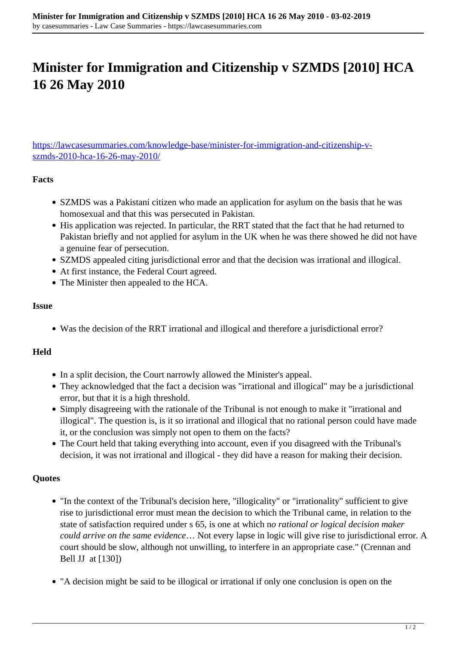# **Minister for Immigration and Citizenship v SZMDS [2010] HCA 16 26 May 2010**

[https://lawcasesummaries.com/knowledge-base/minister-for-immigration-and-citizenship-v](https://lawcasesummaries.com/knowledge-base/minister-for-immigration-and-citizenship-v-szmds-2010-hca-16-26-may-2010/)[szmds-2010-hca-16-26-may-2010/](https://lawcasesummaries.com/knowledge-base/minister-for-immigration-and-citizenship-v-szmds-2010-hca-16-26-may-2010/)

### **Facts**

- SZMDS was a Pakistani citizen who made an application for asylum on the basis that he was homosexual and that this was persecuted in Pakistan.
- His application was rejected. In particular, the RRT stated that the fact that he had returned to Pakistan briefly and not applied for asylum in the UK when he was there showed he did not have a genuine fear of persecution.
- SZMDS appealed citing jurisdictional error and that the decision was irrational and illogical.
- At first instance, the Federal Court agreed.
- The Minister then appealed to the HCA.

### **Issue**

Was the decision of the RRT irrational and illogical and therefore a jurisdictional error?

### **Held**

- In a split decision, the Court narrowly allowed the Minister's appeal.
- They acknowledged that the fact a decision was "irrational and illogical" may be a jurisdictional error, but that it is a high threshold.
- Simply disagreeing with the rationale of the Tribunal is not enough to make it "irrational and illogical". The question is, is it so irrational and illogical that no rational person could have made it, or the conclusion was simply not open to them on the facts?
- The Court held that taking everything into account, even if you disagreed with the Tribunal's decision, it was not irrational and illogical - they did have a reason for making their decision.

### **Quotes**

- "In the context of the Tribunal's decision here, "illogicality" or "irrationality" sufficient to give rise to jurisdictional error must mean the decision to which the Tribunal came, in relation to the state of satisfaction required under s 65, is one at which n*o rational or logical decision maker could arrive on the same evidence*… Not every lapse in logic will give rise to jurisdictional error. A court should be slow, although not unwilling, to interfere in an appropriate case." (Crennan and Bell JJ at [130])
- "A decision might be said to be illogical or irrational if only one conclusion is open on the